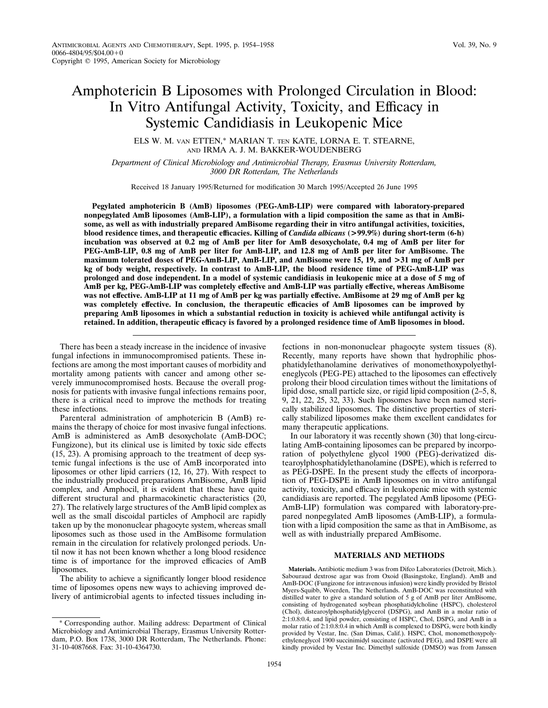# Amphotericin B Liposomes with Prolonged Circulation in Blood: In Vitro Antifungal Activity, Toxicity, and Efficacy in Systemic Candidiasis in Leukopenic Mice

ELS W. M. VAN ETTEN,\* MARIAN T. TEN KATE, LORNA E. T. STEARNE, AND IRMA A. J. M. BAKKER-WOUDENBERG

*Department of Clinical Microbiology and Antimicrobial Therapy, Erasmus University Rotterdam, 3000 DR Rotterdam, The Netherlands*

Received 18 January 1995/Returned for modification 30 March 1995/Accepted 26 June 1995

**Pegylated amphotericin B (AmB) liposomes (PEG-AmB-LIP) were compared with laboratory-prepared nonpegylated AmB liposomes (AmB-LIP), a formulation with a lipid composition the same as that in AmBisome, as well as with industrially prepared AmBisome regarding their in vitro antifungal activities, toxicities, blood residence times, and therapeutic efficacies. Killing of** *Candida albicans* **(>99.9%) during short-term (6-h) incubation was observed at 0.2 mg of AmB per liter for AmB desoxycholate, 0.4 mg of AmB per liter for PEG-AmB-LIP, 0.8 mg of AmB per liter for AmB-LIP, and 12.8 mg of AmB per liter for AmBisome. The maximum tolerated doses of PEG-AmB-LIP, AmB-LIP, and AmBisome were 15, 19, and >31 mg of AmB per kg of body weight, respectively. In contrast to AmB-LIP, the blood residence time of PEG-AmB-LIP was prolonged and dose independent. In a model of systemic candidiasis in leukopenic mice at a dose of 5 mg of AmB per kg, PEG-AmB-LIP was completely effective and AmB-LIP was partially effective, whereas AmBisome was not effective. AmB-LIP at 11 mg of AmB per kg was partially effective. AmBisome at 29 mg of AmB per kg was completely effective. In conclusion, the therapeutic efficacies of AmB liposomes can be improved by preparing AmB liposomes in which a substantial reduction in toxicity is achieved while antifungal activity is retained. In addition, therapeutic efficacy is favored by a prolonged residence time of AmB liposomes in blood.**

There has been a steady increase in the incidence of invasive fungal infections in immunocompromised patients. These infections are among the most important causes of morbidity and mortality among patients with cancer and among other severely immunocompromised hosts. Because the overall prognosis for patients with invasive fungal infections remains poor, there is a critical need to improve the methods for treating these infections.

Parenteral administration of amphotericin B (AmB) remains the therapy of choice for most invasive fungal infections. AmB is administered as AmB desoxycholate (AmB-DOC; Fungizone), but its clinical use is limited by toxic side effects (15, 23). A promising approach to the treatment of deep systemic fungal infections is the use of AmB incorporated into liposomes or other lipid carriers (12, 16, 27). With respect to the industrially produced preparations AmBisome, AmB lipid complex, and Amphocil, it is evident that these have quite different structural and pharmacokinetic characteristics (20, 27). The relatively large structures of the AmB lipid complex as well as the small discoidal particles of Amphocil are rapidly taken up by the mononuclear phagocyte system, whereas small liposomes such as those used in the AmBisome formulation remain in the circulation for relatively prolonged periods. Until now it has not been known whether a long blood residence time is of importance for the improved efficacies of AmB liposomes.

The ability to achieve a significantly longer blood residence time of liposomes opens new ways to achieving improved delivery of antimicrobial agents to infected tissues including in-

fections in non-mononuclear phagocyte system tissues (8). Recently, many reports have shown that hydrophilic phosphatidylethanolamine derivatives of monomethoxypolyethyleneglycols (PEG-PE) attached to the liposomes can effectively prolong their blood circulation times without the limitations of lipid dose, small particle size, or rigid lipid composition (2–5, 8, 9, 21, 22, 25, 32, 33). Such liposomes have been named sterically stabilized liposomes. The distinctive properties of sterically stabilized liposomes make them excellent candidates for many therapeutic applications.

In our laboratory it was recently shown (30) that long-circulating AmB-containing liposomes can be prepared by incorporation of polyethylene glycol 1900 (PEG)-derivatized distearoylphosphatidylethanolamine (DSPE), which is referred to as PEG-DSPE. In the present study the effects of incorporation of PEG-DSPE in AmB liposomes on in vitro antifungal activity, toxicity, and efficacy in leukopenic mice with systemic candidiasis are reported. The pegylated AmB liposome (PEG-AmB-LIP) formulation was compared with laboratory-prepared nonpegylated AmB liposomes (AmB-LIP), a formulation with a lipid composition the same as that in AmBisome, as well as with industrially prepared AmBisome.

# **MATERIALS AND METHODS**

**Materials.** Antibiotic medium 3 was from Difco Laboratories (Detroit, Mich.). Sabouraud dextrose agar was from Oxoid (Basingstoke, England). AmB and AmB-DOC (Fungizone for intravenous infusion) were kindly provided by Bristol Myers-Squibb, Woerden, The Netherlands. AmB-DOC was reconstituted with distilled water to give a standard solution of 5 g of AmB per liter AmBisome, consisting of hydrogenated soybean phosphatidylcholine (HSPC), cholesterol (Chol), distearoylphosphatidylglycerol (DSPG), and AmB in a molar ratio of 2:1:0.8:0.4, and lipid powder, consisting of HSPC, Chol, DSPG, and AmB in a molar ratio of 2:1:0.8:0.4 in which AmB is complexed to DSPG, were both kindly provided by Vestar, Inc. (San Dimas, Calif.). HSPC, Chol, monomethoxypoly-ethyleneglycol 1900 succinimidyl succinate (activated PEG), and DSPE were all kindly provided by Vestar Inc. Dimethyl sulfoxide (DMSO) was from Janssen

<sup>\*</sup> Corresponding author. Mailing address: Department of Clinical Microbiology and Antimicrobial Therapy, Erasmus University Rotterdam, P.O. Box 1738, 3000 DR Rotterdam, The Netherlands. Phone: 31-10-4087668. Fax: 31-10-4364730.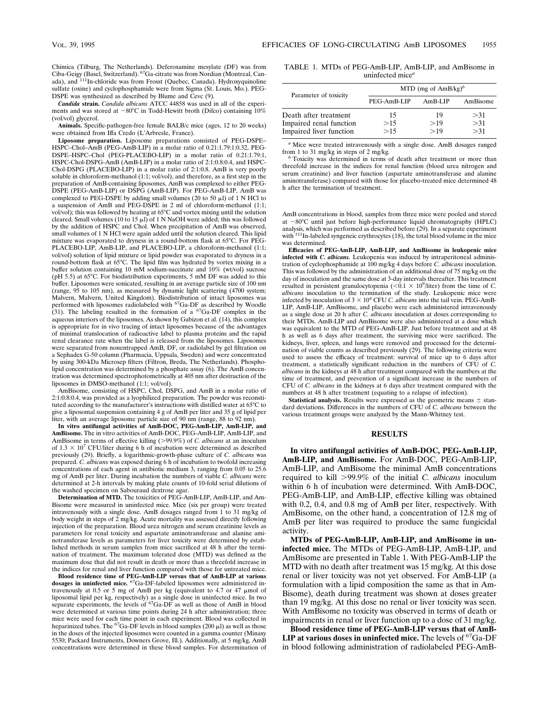Chimica (Tilburg, The Netherlands). Deferoxamine mesylate (DF) was from Ciba-Geigy (Basel, Switzerland). 67Ga-citrate was from Nordian (Montreal, Canada), and <sup>111</sup>In-chloride was from Frosst (Quebec, Canada). Hydroxyquinoline sulfate (oxine) and cyclophosphamide were from Sigma (St. Louis, Mo.). PEG-DSPE was synthesized as described by Blume and Cevc (9).

*Candida* **strain.** *Candida albicans* ATCC 44858 was used in all of the experiments and was stored at  $-80^{\circ}$ C in Todd-Hewitt broth (Difco) containing 10% (vol/vol) glycerol.

**Animals.** Specific-pathogen-free female BALB/c mice (ages, 12 to 20 weeks) were obtained from Iffa Credo (L'Arbresle, France).

**Liposome preparation.** Liposome preparations consisted of PEG-DSPE– HSPC–Chol–AmB (PEG-AmB-LIP) in a molar ratio of 0.21:1.79:1:0.32, PEG-DSPE–HSPC–Chol (PEG-PLACEBO-LIP) in a molar ratio of 0.21:1.79:1, HSPC-Chol-DSPG-AmB (AmB-LIP) in a molar ratio of 2:1:0.8:0.4, and HSPC-Chol-DSPG (PLACEBO-LIP) in a molar ratio of 2:1:0.8. AmB is very poorly soluble in chloroform-methanol (1:1; vol/vol), and therefore, as a first step in the preparation of AmB-containing liposomes, AmB was complexed to either PEG-DSPE (PEG-AmB-LIP) or DSPG (AmB-LIP). For PEG-AmB-LIP, AmB was complexed to PEG-DSPE by adding small volumes (20 to 50  $\mu$ l) of 1 N HCl to a suspension of AmB and PEG-DSPE in 2 ml of chloroform-methanol (1:1; vol/vol); this was followed by heating at 65°C and vortex mixing until the solution cleared. Small volumes (10 to 15  $\mu$ I) of 1 N NaOH were added; this was followed by the addition of HSPC and Chol. When precipitation of AmB was observed, small volumes of 1 N HCl were again added until the solution cleared. This lipid mixture was evaporated to dryness in a round-bottom flask at 65°C. For PEG-PLACEBO-LIP, AmB-LIP, and PLACEBO-LIP, a chloroform-methanol (1:1; vol/vol) solution of lipid mixture or lipid powder was evaporated to dryness in a round-bottom flask at 65°C. The lipid film was hydrated by vortex mixing in a buffer solution containing 10 mM sodium-succinate and 10% (wt/vol) sucrose (pH 5.5) at 65 $^{\circ}$ C. For biodistribution experiments, 5 mM DF was added to this buffer. Liposomes were sonicated, resulting in an average particle size of 100 nm (range, 95 to 105 nm), as measured by dynamic light scattering (4700 system; Malvern, Malvern, United Kingdom). Biodistribution of intact liposomes was performed with liposomes radiolabeled with 67Ga-DF as described by Woodle (31). The labeling resulted in the formation of a  ${}^{67}Ga-DF$  complex in the aqueous interiors of the liposomes. As shown by Gabizon et al. (14), this complex is appropriate for in vivo tracing of intact liposomes because of the advantages of minimal translocation of radioactive label to plasma proteins and the rapid renal clearance rate when the label is released from the liposomes. Liposomes were separated from nonentrapped AmB, DF, or radiolabel by gel filtration on a Sephadex G-50 column (Pharmacia, Uppsala, Sweden) and were concentrated by using 300-kDa Microsep filters (Filtron, Breda, The Netherlands). Phospholipid concentration was determined by a phosphate assay (6). The AmB concentration was determined spectrophotometrically at 405 nm after destruction of the liposomes in DMSO-methanol (1:1; vol/vol).

AmBisome, consisting of HSPC, Chol, DSPG, and AmB in a molar ratio of 2:1:0.8:0.4, was provided as a lyophilized preparation. The powder was reconstituted according to the manufacturer's instructions with distilled water at  $65^{\circ}$ C to give a liposomal suspension containing 4 g of AmB per liter and 35 g of lipid per liter, with an average liposome particle size of 90 nm (range, 88 to 92 nm).

**In vitro antifungal activities of AmB-DOC, PEG-AmB-LIP, AmB-LIP, and AmBisome.** The in vitro activities of AmB-DOC, PEG-AmB-LIP, AmB-LIP, and AmBisome in terms of effective killing (>99.9%) of *C. albicans* at an inoculum of  $1.3 \times 10^7$  CFU/liter during 6 h of incubation were determined as described previously (29). Briefly, a logarithmic-growth-phase culture of *C. albicans* was prepared. *C. albicans* was exposed during 6 h of incubation to twofold increasing concentrations of each agent in antibiotic medium 3, ranging from 0.05 to 25.6 mg of AmB per liter. During incubation the numbers of viable *C. albicans* were determined at 2-h intervals by making plate counts of 10-fold serial dilutions of the washed specimen on Sabouraud dextrose agar.

**Determination of MTD.** The toxicities of PEG-AmB-LIP, AmB-LIP, and Am-Bisome were measured in uninfected mice. Mice (six per group) were treated intravenously with a single dose. AmB dosages ranged from 1 to 31 mg/kg of body weight in steps of 2 mg/kg. Acute mortality was assessed directly following injection of the preparation. Blood urea nitrogen and serum creatinine levels as parameters for renal toxicity and aspartate aminotransferase and alanine aminotransferase levels as parameters for liver toxicity were determined by established methods in serum samples from mice sacrificed at 48 h after the termination of treatment. The maximum tolerated dose (MTD) was defined as the maximum dose that did not result in death or more than a threefold increase in the indices for renal and liver function compared with those for untreated mice.

**Blood residence time of PEG-AmB-LIP versus that of AmB-LIP at various dosages in uninfected mice.** 67Ga-DF-labeled liposomes were administered intravenously at 0.5 or 5 mg of AmB per kg (equivalent to 4.7 or 47 µmol of liposomal lipid per kg, respectively) as a single dose in uninfected mice. In two<br>separate experiments, the levels of <sup>67</sup>Ga-DF as well as those of AmB in blood were determined at various time points during 24 h after administration; three mice were used for each time point in each experiment. Blood was collected in heparinized tubes. The <sup>67</sup>Ga-DF levels in blood samples (200  $\mu$ l) as well as those in the doses of the injected liposomes were counted in a gamma counter (Minaxy 5530; Packard Instruments, Downers Grove, Ill.). Additionally, at 5 mg/kg, AmB concentrations were determined in these blood samples. For determination of

TABLE 1. MTDs of PEG-AmB-LIP, AmB-LIP, and AmBisome in uninfected mice<sup>4</sup>

| Parameter of toxicity                            | MTD (mg of AmB/kg) <sup>b</sup> |           |            |  |  |
|--------------------------------------------------|---------------------------------|-----------|------------|--|--|
|                                                  | PEG-AmB-LIP                     | $AmB-LIP$ | AmBisome   |  |  |
| Death after treatment<br>Impaired renal function | 15<br>>15                       | 19<br>>19 | >31<br>>31 |  |  |
| Impaired liver function                          | >15                             | >19       | >31        |  |  |

*<sup>a</sup>* Mice were treated intravenously with a single dose. AmB dosages ranged from 1 to 31 mg/kg in steps of 2 mg/kg. *<sup>b</sup>* Toxicity was determined in terms of death after treatment or more than

threefold increase in the indices for renal function (blood urea nitrogen and serum creatinine) and liver function (aspartate aminotransferase and alanine aminotransferase) compared with those for placebo-treated mice determined 48 h after the termination of treatment.

AmB concentrations in blood, samples from three mice were pooled and stored at  $-80^{\circ}$ C until just before high-performance liquid chromatography (HPLC) analysis, which was performed as described before (29). In a separate experiment with <sup>111</sup>In-labeled syngeneic erythrocytes (18), the total blood volume in the mice was determined.

**Efficacies of PEG-AmB-LIP, AmB-LIP, and AmBisome in leukopenic mice infected with** *C. albicans.* Leukopenia was induced by intraperitoneal administration of cyclophosphamide at 100 mg/kg 4 days before *C. albicans* inoculation. This was followed by the administration of an additional dose of 75 mg/kg on the day of inoculation and the same dose at 3-day intervals thereafter. This treatment resulted in persistent granulocytopenia ( $\lt 0.1 \times 10^9$ /liter) from the time of *C*. *albicans* inoculation to the termination of the study. Leukopenic mice were infected by inoculation of  $3 \times 10^4$  CFU *C. albicans* into the tail vein. PEG-AmB-LIP, AmB-LIP, AmBisome, and placebo were each administered intravenously as a single dose at 20 h after *C. albicans* inoculation at doses corresponding to their MTDs. AmB-LIP and AmBisome were also administered at a dose which was equivalent to the MTD of PEG-AmB-LIP. Just before treatment and at 48 h as well as 6 days after treatment, the surviving mice were sacrificed. The kidneys, liver, spleen, and lungs were removed and processed for the determination of viable counts as described previously (29). The following criteria were used to assess the efficacy of treatment: survival of mice up to 6 days after treatment, a statistically significant reduction in the numbers of CFU of *C. albicans* in the kidneys at 48 h after treatment compared with the numbers at the time of treatment, and prevention of a significant increase in the numbers of CFU of *C. albicans* in the kidneys at 6 days after treatment compared with the numbers at 48 h after treatment (equating to a relapse of infection).

**Statistical analysis.** Results were expressed as the geometric means  $\pm$  standard deviations. Differences in the numbers of CFU of *C. albicans* between the various treatment groups were analyzed by the Mann-Whitney test.

### **RESULTS**

**In vitro antifungal activities of AmB-DOC, PEG-AmB-LIP, AmB-LIP, and AmBisome.** For AmB-DOC, PEG-AmB-LIP, AmB-LIP, and AmBisome the minimal AmB concentrations required to kill .99.9% of the initial *C. albicans* inoculum within 6 h of incubation were determined. With AmB-DOC, PEG-AmB-LIP, and AmB-LIP, effective killing was obtained with 0.2, 0.4, and 0.8 mg of AmB per liter, respectively. With AmBisome, on the other hand, a concentration of 12.8 mg of AmB per liter was required to produce the same fungicidal activity.

**MTDs of PEG-AmB-LIP, AmB-LIP, and AmBisome in uninfected mice.** The MTDs of PEG-AmB-LIP, AmB-LIP, and AmBisome are presented in Table 1. With PEG-AmB-LIP the MTD with no death after treatment was 15 mg/kg. At this dose renal or liver toxicity was not yet observed. For AmB-LIP (a formulation with a lipid composition the same as that in Am-Bisome), death during treatment was shown at doses greater than 19 mg/kg. At this dose no renal or liver toxicity was seen. With AmBisome no toxicity was observed in terms of death or impairments in renal or liver function up to a dose of 31 mg/kg.

**Blood residence time of PEG-AmB-LIP versus that of AmB-**LIP at various doses in uninfected mice. The levels of <sup>67</sup>Ga-DF in blood following administration of radiolabeled PEG-AmB-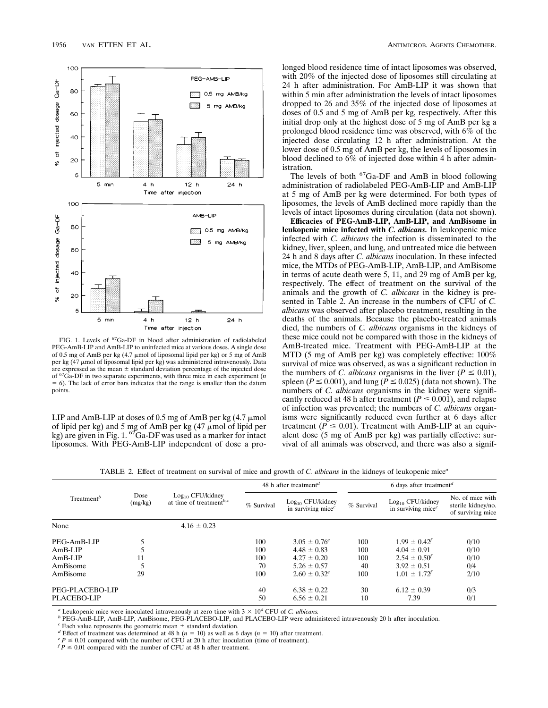

FIG. 1. Levels of <sup>67</sup>Ga-DF in blood after administration of radiolabeled PEG-AmB-LIP and AmB-LIP to uninfected mice at various doses. A single dose of 0.5 mg of AmB per kg (4.7 mmol of liposomal lipid per kg) or 5 mg of AmB per kg  $(47 \mu \text{mol of liposomal lipid per kg})$  was administered intravenously. Data are expressed as the mean  $\pm$  standard deviation percentage of the injected dose of 67Ga-DF in two separate experiments, with three mice in each experiment (*n*  $= 6$ ). The lack of error bars indicates that the range is smaller than the datum points.

LIP and AmB-LIP at doses of  $0.5$  mg of AmB per kg  $(4.7 \mu mol)$ of lipid per kg) and 5 mg of AmB per kg  $(47 \mu m)$  of lipid per kg) are given in Fig. 1. 67Ga-DF was used as a marker for intact liposomes. With PEG-AmB-LIP independent of dose a prolonged blood residence time of intact liposomes was observed, with 20% of the injected dose of liposomes still circulating at 24 h after administration. For AmB-LIP it was shown that within 5 min after administration the levels of intact liposomes dropped to 26 and 35% of the injected dose of liposomes at doses of 0.5 and 5 mg of AmB per kg, respectively. After this initial drop only at the highest dose of 5 mg of AmB per kg a prolonged blood residence time was observed, with 6% of the injected dose circulating 12 h after administration. At the lower dose of 0.5 mg of AmB per kg, the levels of liposomes in blood declined to 6% of injected dose within 4 h after administration.

The levels of both <sup>67</sup>Ga-DF and AmB in blood following administration of radiolabeled PEG-AmB-LIP and AmB-LIP at 5 mg of AmB per kg were determined. For both types of liposomes, the levels of AmB declined more rapidly than the levels of intact liposomes during circulation (data not shown).

**Efficacies of PEG-AmB-LIP, AmB-LIP, and AmBisome in leukopenic mice infected with** *C. albicans.* In leukopenic mice infected with *C. albicans* the infection is disseminated to the kidney, liver, spleen, and lung, and untreated mice die between 24 h and 8 days after *C. albicans* inoculation. In these infected mice, the MTDs of PEG-AmB-LIP, AmB-LIP, and AmBisome in terms of acute death were 5, 11, and 29 mg of AmB per kg, respectively. The effect of treatment on the survival of the animals and the growth of *C. albicans* in the kidney is presented in Table 2. An increase in the numbers of CFU of *C. albicans* was observed after placebo treatment, resulting in the deaths of the animals. Because the placebo-treated animals died, the numbers of *C. albicans* organisms in the kidneys of these mice could not be compared with those in the kidneys of AmB-treated mice. Treatment with PEG-AmB-LIP at the MTD (5 mg of AmB per kg) was completely effective: 100% survival of mice was observed, as was a significant reduction in the numbers of *C. albicans* organisms in the liver ( $P \le 0.01$ ), spleen ( $P \le 0.001$ ), and lung ( $P \le 0.025$ ) (data not shown). The numbers of *C. albicans* organisms in the kidney were significantly reduced at 48 h after treatment ( $P \le 0.001$ ), and relapse of infection was prevented; the numbers of *C. albicans* organisms were significantly reduced even further at 6 days after treatment ( $P \le 0.01$ ). Treatment with AmB-LIP at an equivalent dose (5 mg of AmB per kg) was partially effective: survival of all animals was observed, and there was also a signif-

| TABLE 2. Effect of treatment on survival of mice and growth of C. albicans in the kidneys of leukopenic mice <sup>a</sup> |  |  |
|---------------------------------------------------------------------------------------------------------------------------|--|--|
|                                                                                                                           |  |  |

| Treatment <sup>b</sup> | Dose<br>(mg/kg) |                                                                     | 48 h after treatment <sup>d</sup> |                                                                | 6 days after treatment <sup>d</sup> |                                                       |                                                             |
|------------------------|-----------------|---------------------------------------------------------------------|-----------------------------------|----------------------------------------------------------------|-------------------------------------|-------------------------------------------------------|-------------------------------------------------------------|
|                        |                 | Log <sub>10</sub> CFU/kidney<br>at time of treatment <sup>b,c</sup> | % Survival                        | Log <sub>10</sub> CFU/kidney<br>in surviving mice <sup>c</sup> | % Survival                          | Log <sub>10</sub> CFU/kidney<br>in surviving mice $c$ | No. of mice with<br>sterile kidney/no.<br>of surviving mice |
| None                   |                 | $4.16 \pm 0.23$                                                     |                                   |                                                                |                                     |                                                       |                                                             |
| PEG-AmB-LIP            |                 |                                                                     | 100                               | $3.05 \pm 0.76^e$                                              | 100                                 | $1.99 \pm 0.42^{f}$                                   | 0/10                                                        |
| $AmB-LIP$              |                 |                                                                     | 100                               | $4.48 \pm 0.83$                                                | 100                                 | $4.04 \pm 0.91$                                       | 0/10                                                        |
| $AmB-LIP$              | 11              |                                                                     | 100                               | $4.27 \pm 0.20$                                                | 100                                 | $2.54 \pm 0.50^{\circ}$                               | 0/10                                                        |
| AmBisome               |                 |                                                                     | 70                                | $5.26 \pm 0.57$                                                | 40                                  | $3.92 \pm 0.51$                                       | 0/4                                                         |
| AmBisome               | 29              |                                                                     | 100                               | $2.60 \pm 0.32^e$                                              | 100                                 | $1.01 \pm 1.72^t$                                     | 2/10                                                        |
| PEG-PLACEBO-LIP        |                 |                                                                     | 40                                | $6.38 \pm 0.22$                                                | 30                                  | $6.12 \pm 0.39$                                       | 0/3                                                         |
| PLACEBO-LIP            |                 |                                                                     | 50                                | $6.56 \pm 0.21$                                                | 10                                  | 7.39                                                  | 0/1                                                         |

<sup>a</sup> Leukopenic mice were inoculated intravenously at zero time with  $3 \times 10^4$  CFU of *C. albicans.*<br><sup>b</sup> PEG-AmB-LIP, AmB-LIP, AmBisome, PEG-PLACEBO-LIP, and PLACEBO-LIP were administered intravenously 20 h after inoculat

d Effect of treatment was determined at 48 h ( $n = 10$ ) as well as 6 days ( $n = 10$ ) after treatment.<br>  ${}^eP \le 0.01$  compared with the number of CFU at 20 h after inoculation (time of treatment).<br>  ${}^fP \le 0.01$  compared wit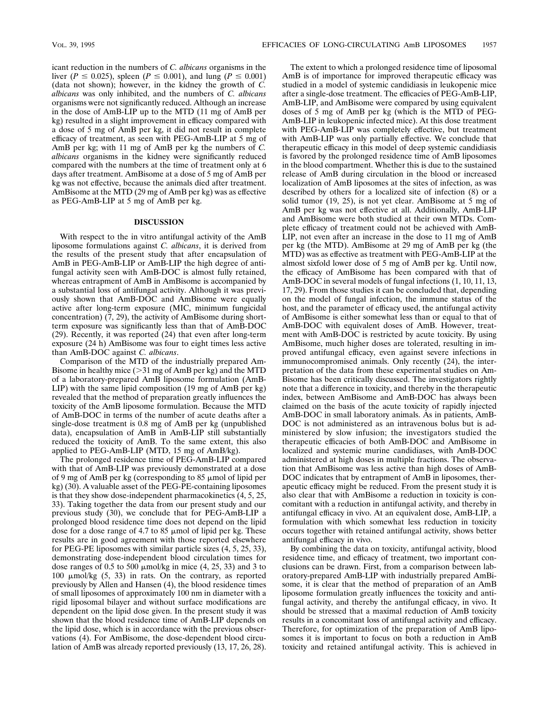icant reduction in the numbers of *C. albicans* organisms in the liver ( $P \le 0.025$ ), spleen ( $P \le 0.001$ ), and lung ( $P \le 0.001$ ) (data not shown); however, in the kidney the growth of *C. albicans* was only inhibited, and the numbers of *C. albicans* organisms were not significantly reduced. Although an increase in the dose of AmB-LIP up to the MTD (11 mg of AmB per kg) resulted in a slight improvement in efficacy compared with a dose of 5 mg of AmB per kg, it did not result in complete efficacy of treatment, as seen with PEG-AmB-LIP at 5 mg of AmB per kg; with 11 mg of AmB per kg the numbers of *C. albicans* organisms in the kidney were significantly reduced compared with the numbers at the time of treatment only at 6 days after treatment. AmBisome at a dose of 5 mg of AmB per kg was not effective, because the animals died after treatment. AmBisome at the MTD (29 mg of AmB per kg) was as effective as PEG-AmB-LIP at 5 mg of AmB per kg.

# **DISCUSSION**

With respect to the in vitro antifungal activity of the AmB liposome formulations against *C. albicans*, it is derived from the results of the present study that after encapsulation of AmB in PEG-AmB-LIP or AmB-LIP the high degree of antifungal activity seen with AmB-DOC is almost fully retained, whereas entrapment of AmB in AmBisome is accompanied by a substantial loss of antifungal activity. Although it was previously shown that AmB-DOC and AmBisome were equally active after long-term exposure (MIC, minimum fungicidal concentration) (7, 29), the activity of AmBisome during shortterm exposure was significantly less than that of AmB-DOC (29). Recently, it was reported (24) that even after long-term exposure (24 h) AmBisome was four to eight times less active than AmB-DOC against *C. albicans*.

Comparison of the MTD of the industrially prepared Am-Bisome in healthy mice  $(>31 \text{ mg of } Am$ B per kg) and the MTD of a laboratory-prepared AmB liposome formulation (AmB-LIP) with the same lipid composition (19 mg of AmB per kg) revealed that the method of preparation greatly influences the toxicity of the AmB liposome formulation. Because the MTD of AmB-DOC in terms of the number of acute deaths after a single-dose treatment is 0.8 mg of AmB per kg (unpublished data), encapsulation of AmB in AmB-LIP still substantially reduced the toxicity of AmB. To the same extent, this also applied to PEG-AmB-LIP (MTD, 15 mg of AmB/kg).

The prolonged residence time of PEG-AmB-LIP compared with that of AmB-LIP was previously demonstrated at a dose of 9 mg of AmB per kg (corresponding to 85  $\mu$ mol of lipid per kg) (30). A valuable asset of the PEG-PE-containing liposomes is that they show dose-independent pharmacokinetics (4, 5, 25, 33). Taking together the data from our present study and our previous study (30), we conclude that for PEG-AmB-LIP a prolonged blood residence time does not depend on the lipid dose for a dose range of 4.7 to 85  $\mu$ mol of lipid per kg. These results are in good agreement with those reported elsewhere for PEG-PE liposomes with similar particle sizes (4, 5, 25, 33), demonstrating dose-independent blood circulation times for dose ranges of 0.5 to 500  $\mu$ mol/kg in mice (4, 25, 33) and 3 to 100  $\mu$ mol/kg (5, 33) in rats. On the contrary, as reported previously by Allen and Hansen (4), the blood residence times of small liposomes of approximately 100 nm in diameter with a rigid liposomal bilayer and without surface modifications are dependent on the lipid dose given. In the present study it was shown that the blood residence time of AmB-LIP depends on the lipid dose, which is in accordance with the previous observations (4). For AmBisome, the dose-dependent blood circulation of AmB was already reported previously (13, 17, 26, 28).

The extent to which a prolonged residence time of liposomal AmB is of importance for improved therapeutic efficacy was studied in a model of systemic candidiasis in leukopenic mice after a single-dose treatment. The efficacies of PEG-AmB-LIP, AmB-LIP, and AmBisome were compared by using equivalent doses of 5 mg of AmB per kg (which is the MTD of PEG-AmB-LIP in leukopenic infected mice). At this dose treatment with PEG-AmB-LIP was completely effective, but treatment with AmB-LIP was only partially effective. We conclude that therapeutic efficacy in this model of deep systemic candidiasis is favored by the prolonged residence time of AmB liposomes in the blood compartment. Whether this is due to the sustained release of AmB during circulation in the blood or increased localization of AmB liposomes at the sites of infection, as was described by others for a localized site of infection (8) or a solid tumor (19, 25), is not yet clear. AmBisome at 5 mg of AmB per kg was not effective at all. Additionally, AmB-LIP and AmBisome were both studied at their own MTDs. Complete efficacy of treatment could not be achieved with AmB-LIP, not even after an increase in the dose to 11 mg of AmB per kg (the MTD). AmBisome at 29 mg of AmB per kg (the MTD) was as effective as treatment with PEG-AmB-LIP at the almost sixfold lower dose of 5 mg of AmB per kg. Until now, the efficacy of AmBisome has been compared with that of AmB-DOC in several models of fungal infections (1, 10, 11, 13, 17, 29). From those studies it can be concluded that, depending on the model of fungal infection, the immune status of the host, and the parameter of efficacy used, the antifungal activity of AmBisome is either somewhat less than or equal to that of AmB-DOC with equivalent doses of AmB. However, treatment with AmB-DOC is restricted by acute toxicity. By using AmBisome, much higher doses are tolerated, resulting in improved antifungal efficacy, even against severe infections in immunocompromised animals. Only recently (24), the interpretation of the data from these experimental studies on Am-Bisome has been critically discussed. The investigators rightly note that a difference in toxicity, and thereby in the therapeutic index, between AmBisome and AmB-DOC has always been claimed on the basis of the acute toxicity of rapidly injected AmB-DOC in small laboratory animals. As in patients, AmB-DOC is not administered as an intravenous bolus but is administered by slow infusion; the investigators studied the therapeutic efficacies of both AmB-DOC and AmBisome in localized and systemic murine candidiases, with AmB-DOC administered at high doses in multiple fractions. The observation that AmBisome was less active than high doses of AmB-DOC indicates that by entrapment of AmB in liposomes, therapeutic efficacy might be reduced. From the present study it is also clear that with AmBisome a reduction in toxicity is concomitant with a reduction in antifungal activity, and thereby in antifungal efficacy in vivo. At an equivalent dose, AmB-LIP, a formulation with which somewhat less reduction in toxicity occurs together with retained antifungal activity, shows better antifungal efficacy in vivo.

By combining the data on toxicity, antifungal activity, blood residence time, and efficacy of treatment, two important conclusions can be drawn. First, from a comparison between laboratory-prepared AmB-LIP with industrially prepared AmBisome, it is clear that the method of preparation of an AmB liposome formulation greatly influences the toxicity and antifungal activity, and thereby the antifungal efficacy, in vivo. It should be stressed that a maximal reduction of AmB toxicity results in a concomitant loss of antifungal activity and efficacy. Therefore, for optimization of the preparation of AmB liposomes it is important to focus on both a reduction in AmB toxicity and retained antifungal activity. This is achieved in